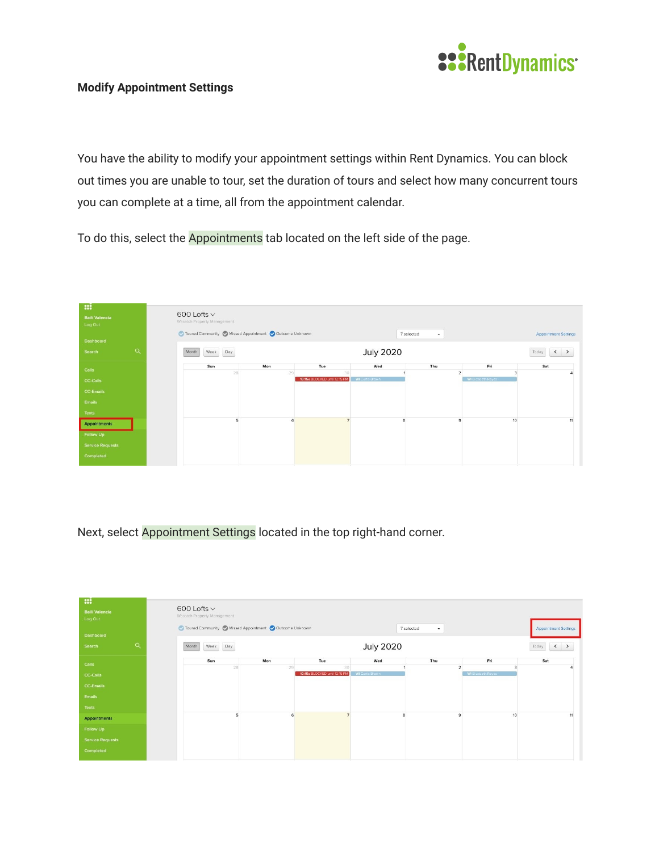

## **Modify Appointment Settings**

You have the ability to modify your appointment settings within Rent Dynamics. You can block out times you are unable to tour, set the duration of tours and select how many concurrent tours you can complete at a time, all from the appointment calendar.

To do this, select the Appointments tab located on the left side of the page.



Next, select Appointment Settings located in the top right-hand corner.

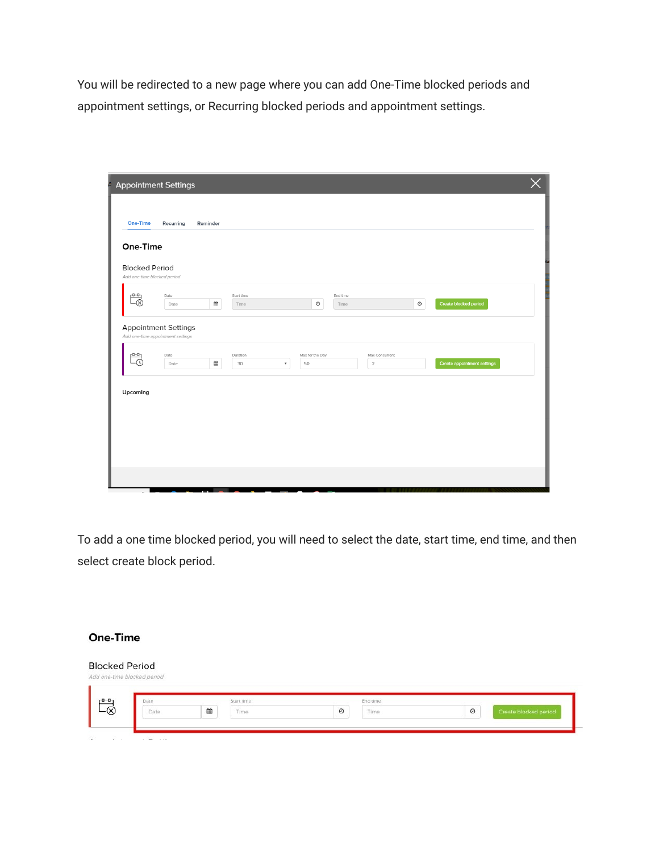You will be redirected to a new page where you can add One-Time blocked periods and appointment settings, or Recurring blocked periods and appointment settings.

| A<br><b>Appointment Settings</b>                                 |              |          |                    |                           |                       |                  |                                  |            |                             |  |
|------------------------------------------------------------------|--------------|----------|--------------------|---------------------------|-----------------------|------------------|----------------------------------|------------|-----------------------------|--|
|                                                                  |              |          |                    |                           |                       |                  |                                  |            |                             |  |
| <b>One-Time</b>                                                  | Recurring    | Reminder |                    |                           |                       |                  |                                  |            |                             |  |
| One-Time                                                         |              |          |                    |                           |                       |                  |                                  |            |                             |  |
| <b>Blocked Period</b><br>Add one-time blocked period             |              |          |                    |                           |                       |                  |                                  |            |                             |  |
| $\frac{p}{\sqrt{2}}$                                             | Date<br>Date | ₩        | Start time<br>Time |                           | $_{\odot}$            | End time<br>Time |                                  | $_{\odot}$ | Create blocked period       |  |
| <b>Appointment Settings</b><br>Add one-time appointment settings |              |          |                    |                           |                       |                  |                                  |            |                             |  |
| Ëõ                                                               | Date<br>Date | ₩        | Duration<br>30     | $\boldsymbol{\mathrm{v}}$ | Max for the Day<br>50 |                  | Max Concurrent<br>$\overline{2}$ |            | Create appointment settings |  |
| Upcoming                                                         |              |          |                    |                           |                       |                  |                                  |            |                             |  |
|                                                                  |              |          |                    |                           |                       |                  |                                  |            |                             |  |
|                                                                  |              |          |                    |                           |                       |                  |                                  |            |                             |  |
|                                                                  |              |          |                    |                           |                       |                  |                                  |            |                             |  |
|                                                                  |              |          |                    |                           |                       |                  |                                  |            |                             |  |

To add a one time blocked period, you will need to select the date, start time, end time, and then select create block period.

## **One-Time**

## **Blocked Period** ked period Ëø Start time End time Date  $\blacksquare$ Time  $\circ$ Time  $\circ$ Create blocked period Date  $\cdots$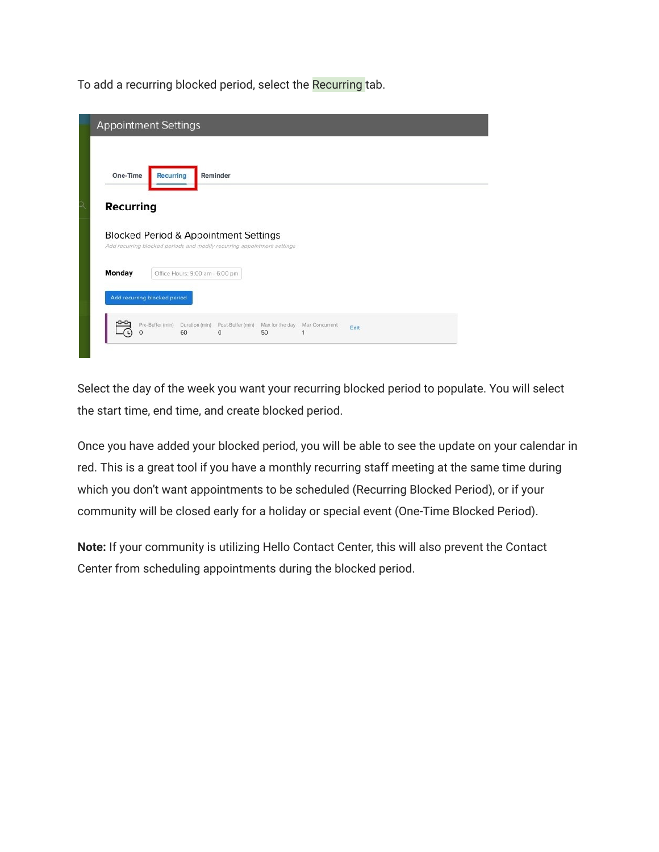To add a recurring blocked period, select the Recurring tab.

| One-Time  | <b>Recurring</b>                                                                                                 | Reminder |  |  |  |
|-----------|------------------------------------------------------------------------------------------------------------------|----------|--|--|--|
| Recurring |                                                                                                                  |          |  |  |  |
|           |                                                                                                                  |          |  |  |  |
|           |                                                                                                                  |          |  |  |  |
|           | Blocked Period & Appointment Settings<br>Add recurring blocked periods and modify recurring appointment settings |          |  |  |  |
| Monday    | Office Hours: 9:00 am - 6:00 pm                                                                                  |          |  |  |  |

Select the day of the week you want your recurring blocked period to populate. You will select the start time, end time, and create blocked period.

Once you have added your blocked period, you will be able to see the update on your calendar in red. This is a great tool if you have a monthly recurring staff meeting at the same time during which you don't want appointments to be scheduled (Recurring Blocked Period), or if your community will be closed early for a holiday or special event (One-Time Blocked Period).

**Note:** If your community is utilizing Hello Contact Center, this will also prevent the Contact Center from scheduling appointments during the blocked period.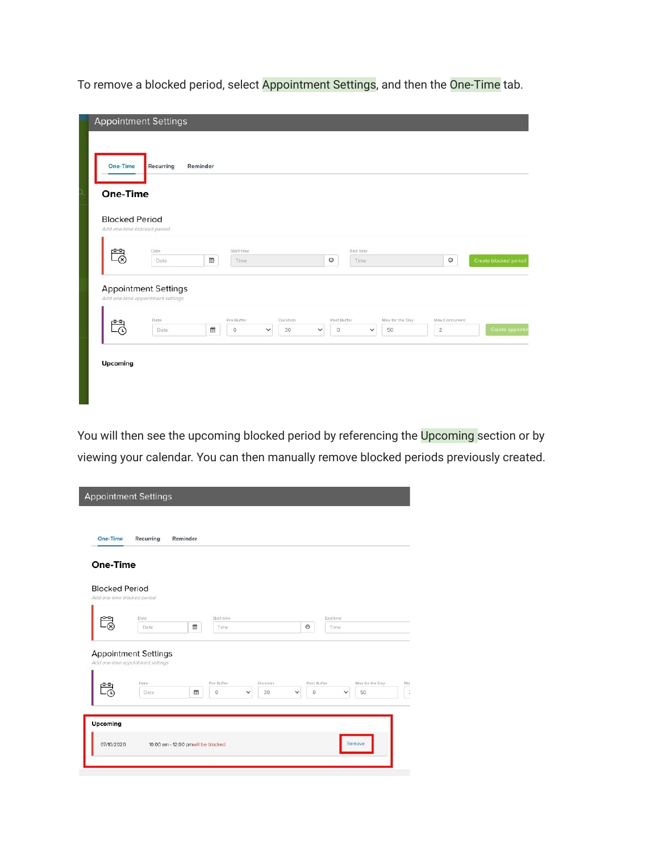To remove a blocked period, select Appointment Settings, and then the One-Time tab.

|                                                      | <b>Appointment Settings</b>       |                            |                                |                                        |              |                       |                                  |                       |
|------------------------------------------------------|-----------------------------------|----------------------------|--------------------------------|----------------------------------------|--------------|-----------------------|----------------------------------|-----------------------|
| <b>One-Time</b>                                      | Recurring                         | Reminder                   |                                |                                        |              |                       |                                  |                       |
| One-Time                                             |                                   |                            |                                |                                        |              |                       |                                  |                       |
| <b>Blocked Period</b><br>Add one-time blocked period |                                   |                            |                                |                                        |              |                       |                                  |                       |
|                                                      | Date                              | Start time                 |                                |                                        | End time     |                       |                                  |                       |
| تصصر<br>-ශ                                           | Date                              | ₩<br>Time.                 |                                | $\odot$                                | Time         |                       | $_{\odot}$                       | Create blocked period |
|                                                      | <b>Appointment Settings</b>       |                            |                                |                                        |              |                       |                                  |                       |
|                                                      | Add one-time appointment settings |                            |                                |                                        |              |                       |                                  |                       |
| تصص<br>- ت                                           | Date<br>Date                      | Pre Buffer<br>曲<br>$\circ$ | Duration<br>30<br>$\checkmark$ | Post Buffer<br>$\circ$<br>$\checkmark$ | $\checkmark$ | Max for the Day<br>50 | Max Concurrent<br>$\overline{2}$ | Create appointr       |
|                                                      |                                   |                            |                                |                                        |              |                       |                                  |                       |
| Upcoming                                             |                                   |                            |                                |                                        |              |                       |                                  |                       |
|                                                      |                                   |                            |                                |                                        |              |                       |                                  |                       |
|                                                      |                                   |                            |                                |                                        |              |                       |                                  |                       |

You will then see the upcoming blocked period by referencing the Upcoming section or by viewing your calendar. You can then manually remove blocked periods previously created.

| One-Time                                             |                                                                  |                            |                                |                                        |                                              |
|------------------------------------------------------|------------------------------------------------------------------|----------------------------|--------------------------------|----------------------------------------|----------------------------------------------|
| <b>Blocked Period</b><br>Add one-time blocked period |                                                                  |                            |                                |                                        |                                              |
|                                                      | Date<br>Date                                                     | Start time<br>曲<br>Time    |                                | $\odot$                                | End time<br>Time                             |
|                                                      | <b>Appointment Settings</b><br>Add one-time appointment settings |                            |                                |                                        |                                              |
|                                                      | Date<br>Date                                                     | Pre Buffer<br>曲<br>$\circ$ | Duration<br>30<br>$\checkmark$ | Post Buffer<br>$\circ$<br>$\checkmark$ | Max for the Day<br>Ma:<br>50<br>$\checkmark$ |